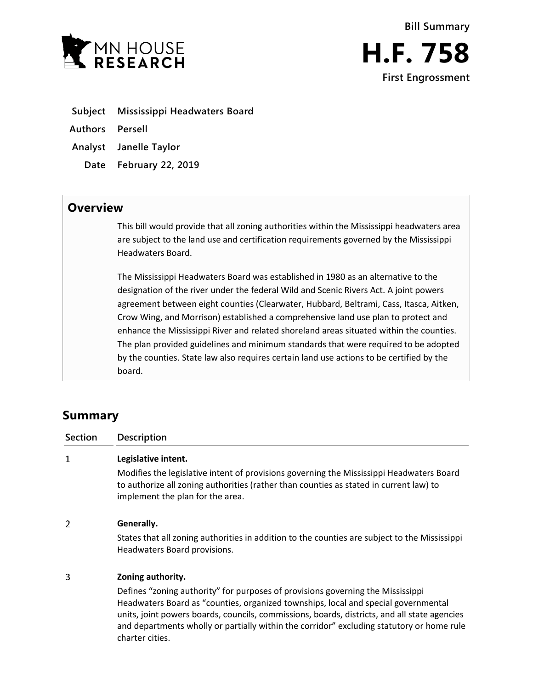

**Subject Mississippi Headwaters Board**

**Authors Persell**

**Analyst Janelle Taylor**

**Date February 22, 2019**

## **Overview**

This bill would provide that all zoning authorities within the Mississippi headwaters area are subject to the land use and certification requirements governed by the Mississippi Headwaters Board.

The Mississippi Headwaters Board was established in 1980 as an alternative to the designation of the river under the federal Wild and Scenic Rivers Act. A joint powers agreement between eight counties (Clearwater, Hubbard, Beltrami, Cass, Itasca, Aitken, Crow Wing, and Morrison) established a comprehensive land use plan to protect and enhance the Mississippi River and related shoreland areas situated within the counties. The plan provided guidelines and minimum standards that were required to be adopted by the counties. State law also requires certain land use actions to be certified by the board.

## **Summary**

**Section Description**  $\mathbf{1}$ **Legislative intent.** Modifies the legislative intent of provisions governing the Mississippi Headwaters Board to authorize all zoning authorities (rather than counties as stated in current law) to implement the plan for the area.  $\overline{2}$ **Generally.** States that all zoning authorities in addition to the counties are subject to the Mississippi Headwaters Board provisions. 3 **Zoning authority.**

> Defines "zoning authority" for purposes of provisions governing the Mississippi Headwaters Board as "counties, organized townships, local and special governmental units, joint powers boards, councils, commissions, boards, districts, and all state agencies and departments wholly or partially within the corridor" excluding statutory or home rule charter cities.